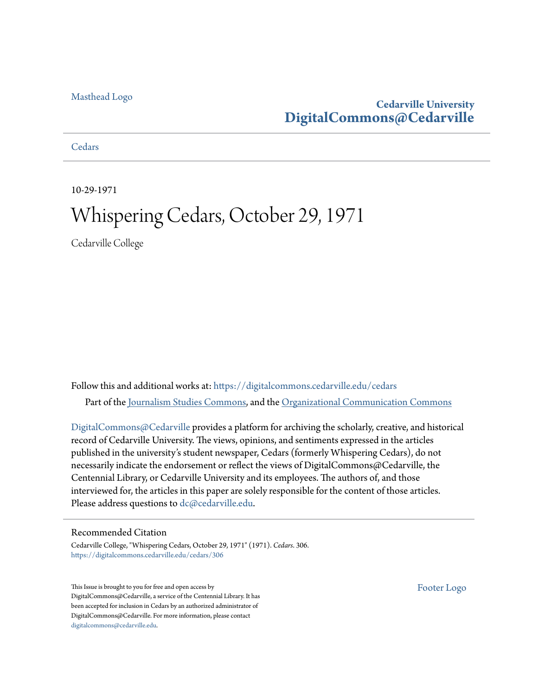### [Masthead Logo](http://www.cedarville.edu/?utm_source=digitalcommons.cedarville.edu%2Fcedars%2F306&utm_medium=PDF&utm_campaign=PDFCoverPages)

### **Cedarville University [DigitalCommons@Cedarville](https://digitalcommons.cedarville.edu?utm_source=digitalcommons.cedarville.edu%2Fcedars%2F306&utm_medium=PDF&utm_campaign=PDFCoverPages)**

**[Cedars](https://digitalcommons.cedarville.edu/cedars?utm_source=digitalcommons.cedarville.edu%2Fcedars%2F306&utm_medium=PDF&utm_campaign=PDFCoverPages)** 

10-29-1971

# Whispering Cedars, October 29, 1971

Cedarville College

Follow this and additional works at: [https://digitalcommons.cedarville.edu/cedars](https://digitalcommons.cedarville.edu/cedars?utm_source=digitalcommons.cedarville.edu%2Fcedars%2F306&utm_medium=PDF&utm_campaign=PDFCoverPages) Part of the [Journalism Studies Commons](http://network.bepress.com/hgg/discipline/333?utm_source=digitalcommons.cedarville.edu%2Fcedars%2F306&utm_medium=PDF&utm_campaign=PDFCoverPages), and the [Organizational Communication Commons](http://network.bepress.com/hgg/discipline/335?utm_source=digitalcommons.cedarville.edu%2Fcedars%2F306&utm_medium=PDF&utm_campaign=PDFCoverPages)

[DigitalCommons@Cedarville](http://digitalcommons.cedarville.edu/) provides a platform for archiving the scholarly, creative, and historical record of Cedarville University. The views, opinions, and sentiments expressed in the articles published in the university's student newspaper, Cedars (formerly Whispering Cedars), do not necessarily indicate the endorsement or reflect the views of DigitalCommons@Cedarville, the Centennial Library, or Cedarville University and its employees. The authors of, and those interviewed for, the articles in this paper are solely responsible for the content of those articles. Please address questions to [dc@cedarville.edu.](mailto:dc@cedarville.edu)

#### Recommended Citation

Cedarville College, "Whispering Cedars, October 29, 1971" (1971). *Cedars*. 306. [https://digitalcommons.cedarville.edu/cedars/306](https://digitalcommons.cedarville.edu/cedars/306?utm_source=digitalcommons.cedarville.edu%2Fcedars%2F306&utm_medium=PDF&utm_campaign=PDFCoverPages)

This Issue is brought to you for free and open access by DigitalCommons@Cedarville, a service of the Centennial Library. It has been accepted for inclusion in Cedars by an authorized administrator of DigitalCommons@Cedarville. For more information, please contact [digitalcommons@cedarville.edu](mailto:digitalcommons@cedarville.edu).

[Footer Logo](http://www.cedarville.edu/Academics/Library.aspx?utm_source=digitalcommons.cedarville.edu%2Fcedars%2F306&utm_medium=PDF&utm_campaign=PDFCoverPages)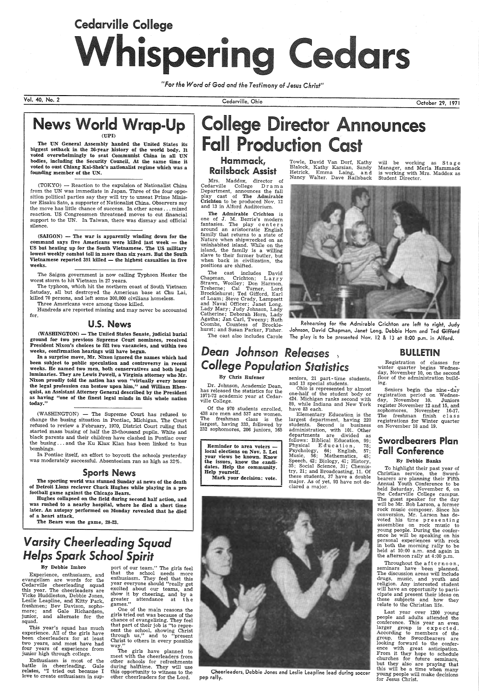# Cedarville College •<br>Isperil

*"For the Word of God and the Testimony of* Jesus *Christ"* 

Vol. 40, No. 2

The UN General Assembly handed the United States its biggest setback in the 26-year history of the world body. It voted overwhehningly to seat Communist China in all UN bodies, including the Security Council. At the same time it voted to oust Chiang Kai-Shek's nationalist regime whlch was <sup>a</sup> founding member of the UN.

(TOKYO) - Reaction to the expulsion of Nationalist China from the UN was immediate in Japan. Three of the four opposition political parties say they will try to unseat Prime Minister Eisaku Sato, a supporter of Nationalist China. Observers say the move has little chance of success. In other areas ... mixed reaction. US Congressmen threatened moves to cut financial support to the UN. In Taiwan, there was dismay and official silence.

 $(SAIGON)$  - The war is apparently winding down for the command says five Americans were killed last week - the US but heating up for the South Vietnamese. The US military lowest weekly combat toll in more than six years. But the South Vietnamese reported  $391$  killed  $-$  the highest casualties in five weeks.

(WASHINGTON) - The United States Senate, judicial burial ground for two previous Supreme Court nominees, received President Nixon's choices to fill two vacancies, and within two weeks, confirmation hearings will have begun.

In a surprise move, Mr. Nixon ignored the names which had been subject to public speculation and controversy in recent weeks. He named two men, both conservatives and both legal luminaries. They are Lewis Powell, a Virginia attorney who Mr. Nixon proudly told the nation has won "virtually every honor the legal profession can bestow upon him," and William Rhenquist, an Assistant Attorney General described by the President as having "one of the finest legal minds in this whole nation today."

The Saigon government is now calling Typhoon Hester the worst storm to hit Vietnam in 27 years.

(WASHINGTON) - The Supreme Court has refused to change the busing situation in Pontiac, Michigan. The Court refused to review a February, 1970, District Court ruling that started mass busing of half the 25-thousand pupils. White and black parents and their children have clashed in Pontiac over the busing ... and the Ku Klux Klan has been linked to bus bombings.

The typhoon, which hit the northern coast of South Vietnam Satuday, all but destroyed the American base at Chu Lai, killed 70 persons, and left some 300,000 civilians homeless.

In Pontiac itself, an effort to boycott the schools yesterday was moderately successful. Absenteeism ran as high as 32%.

Hughes collapsed on the field during second half action, and was rushed to a nearby hospital, where he died a short time later. An autopsy performed on Monday revealed that he died

# llege Director Announces **Fall Production Cast**

Three Americans were among those killed.

Hundreds are reported missing and may never be accounted for.

### U.S. News

One of the main reasons the girls tried out was because of the chance of evangelizing. They feel that part of their job is "to repre sent the school, showing Christ through us," and to "present Christ to others in every possible way.'

The girls have planned to<br>meet with the cheerleaders from other schools for refreshments during halftime. They will use this opportunity to witness to the other cheerleaders for the Lord.

Mrs. Maddox, director of Cedarville College Dram <sup>a</sup> Department, announces the fall play cast of The Admirable **Crichton** to be produced Nov. 12<br>and 13 in Alford Auditorium.

will be working as Stage Manager, and Merla Hammack is working with Mrs. Maddox as Student Director.



### Sports News

The sporting world was stunned Sunday at news of the death of Detroit Lions reciever Chuck Hughes while playing in <sup>a</sup>pro football game against the Chicago Bears.

of a heart attack.

The Bears won the game, 28-23.

# *Varsity Cheerleading Squad Helps Spark School Spirit*

#### By Debbie Imbro

Experience, enthusiasm, and evangelism are words for the Cedarville cheerleading squad this year. The cheerleaders are Vicke Huddleston, Debbie Jones, Leslie Leapline, and Kitty Park, freshmen; Bev Davison, sophomore; and Gale Richardson, junior, and alternate for the squad.

Registration of classes for winter quarter begins Wednesday, November 10, on the second floor of the administration build  $mg.$ 

This year's squad has much experience. All of the girls have been cheerleaders for at least two years, and most have had four years of experience from junior high through college.

To highlight their past year of Christian service, the Swordbearers are planning their Fifth Annual Youth Conference to be held Saturday, November 6, on the Cedarville College campus. The guest speaker for the day will be Mr. Bob Larson, a former will be Mr. Bob Larson, a former<br>rock music composer. Since his conversion, Mr. Larson has devoted his time presenting assemblies on rock music to young people. During the conference he will be speaking on his personal experiences with rock<br>in both the morning rally to be held at  $10:00$  a.m. and again in the afternoon rally at 4:00 p.m. Throughout the afternoon, seminars have been planned. The discussion areas will include drugs, music, and youth and religion. Any interested student will have an opportunity to parti cipate and present their ideas on these subjects and how they relate to the Christian life. Last year over 1200 young people and adults attended the conference. This year an even larger group is expected. According to members of the group, the Swordbearers are looking forward to the conference with great anticipation. From it they hope to schedule churches for future seminars, but they also are praying that this will be a time when many young people will make decisions for Jesus Christ.

Enthusiasm is most of the battle in cheerleading. Gale relates, "I tried out because I love to create enthusiasm in sup-

port of our team." The girls feel that the school needs more enthusiasm. They feel that this year everyone should "really get excited about our teams, and show it by cheering, and by a greater attendance at the games."

Cedarville, Ohio

### Hammack, Railsback Assist

The Admirable Crichton is one of J. M. Berrie's modern<br>fantasies. The play centers around an aristocratic English family that returns to a state of Nature when shipwrecked on an uninhabited island. While on the island, the family is a willing slave to their former butler, but when back in civilization, the positions are shifted.

Towle, David Van Dorf, Kathy Blalock, Kathy Karsian, Sandy Hetrick, Emma Laing, and Nancy Walter. Dave Railsback

October 29, 1971

# News World Wrap-Up

The cast includes David Chapman, Crichton; L a r r y Strawn, Woolley; Don Harmon, Treherne; Cal Turner, Lord Brocklehurst; Ted Gifford, Earl of Loam; Steve Crady, Lampsett and Naval Officer; Janet Long, Lady Mary; Judy Johnson, Lady Catherine; Deborah Horn, Lady Agatha; Jan Carl, Tweeny; Ruth Coombs, Countess of Brocklehurst; and Susan Parker, Fisher.

The cast also includes Carole

Rehearsing for the Admirable Crichton are left to right, Judy Johnson, David Chapman, Janet Long, Debbie Horn and Ted Gifford The play is to be presented Nov. 12 & 13 at 8:00 p.m. in Alford.

# *Dean Johnson Releases* ) *College Population Statistics*

### By Chris Rufener

Dr. Johnson, Academic Dean, has released the statistics for the 1971-72 academic year at Cedarville College.

Of the 970 students enrolled, 438 are men and 537 are women. The freshman class is the largest, having 333, followed by 232 sophomores, 206 juniors, 165

Reminder to area voters local elections on Nov. 2. Let your views be known. Know the issues, know the candidates. Help the community. Help yourself.

Mark your decision: vote.

seniors, 21 part- time students, and 13 special students.

Ohio is represented by almost one-half of the student body or 424. Michigan ranks second with 89, while Indiana and New York have 83 each.

Elementary Education is the largest department, having <sup>220</sup> students. Second is business administration, with 101. Other departments are divided as follows: Biblical Education, 99; Physical Education, 78; Psychology, 64; English, 57; Music, 56; Mathematics, 45; Speech, 42; Biology, 41; History, 35; Social Science, 31; Chemistry, 21; and Broadcasting, 11. Of these students, 37 have a double major. As of yet, 93 have not declared a major.



Cheerleaders, Debbie Jones and Leslie leapline lead during soccer pep rally.

### BULLETIN

Seniors begin the nine - day registration period on Wednesday, November 10. Juniors register November 12 and 15, and sophomores, November 16-17. The freshman finish c 1 a s s registrations for Winter quarter on November 18 and 19.

### Swordbearers Plan Fall Conference

#### By Debbie Banks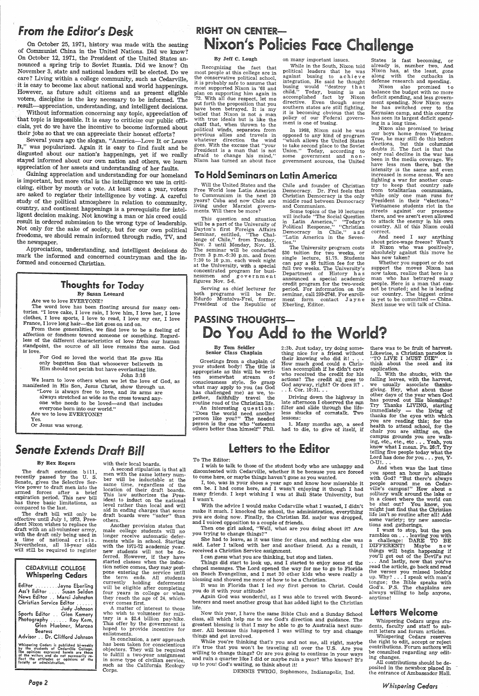## *From the Editor's Desk*

On October 25, 1971, history was made with the seating of Communist China in the United Nations. Did we know? On October 12, 1971, the President of the United States announced a spring trip to Soviet Russia. Did we know? On November 3, state and national leaders will be elected. Do we care? Living within a college community, such as Cedarville, it is easy to become lax about national and world happenings. However, as future adult citizens and as present eligible voters, discipline is the key necessary to be informed. The result-appreciation, understanding, and intelligent decisions.

Without information concerning any topic, appreciation of that topic is impossible. It is easy to criticize our public officials, yet do we have the incentive to become informed about their jobs so that we can appreciate their honest efforts?

Gaining appreciation and understanding for our homeland is important, but more vital is the intelligence we use in criticizing, either by mouth or vote. At least once a year, voters are asked to register their intelligence by voting. A careful study of the political atmosphere in relation to community, country, and continent happenings is a prerequisite for intelligent decision making. Not knowing a man or his creed could result in ordered submission to the wrong type of leadership. Not only for the sake of society, but for our own political freedoms, we should remain informed through radio, TV, and the newspaper.

Several years ago the slogan, "America-Love It or Leave It," was popularized. Again it is easy to find fault and be disgusted about our nation's happenings, yet if we really stayed informed about our own nation and others, we learn appreciation of her assets and understanding of her faults.

affection or fondness toward someone or something. Regard-<br>less of the different characteristics of love from our human standpoint, the source of all love remains the same. God is love.

We learn to love others when we let the love of God, as manifested in His Son, Jesus Christ, show through us. ' "Love is always free to love, and its arms are always stretched as wide as the cross toward anyone who needs to be loved-and that includes everyone born into our world."

The draft extension bill, recently passed by the U. S. Senate, gives the Selective Service power to draft men into the armed forces after a brief expiration period. This new bill has three basic limitations, as compared to the last.

Appreciation, understanding, and intelligent decisions do mark the informed and concerned countryman and the in formed and concerned Christian.

Editor .........Jayne Eberling<br>Ass't Editor .... Susan Selden News Editor .. Marci Johnston Christian Service Editor ..... . Judy Johnson Sports Editor . . Glen Kemery Photography ...... Roy Kern, Glen Huebner, Marcea Bearess Advisor .. Dr. Clifford Johnson

Whispering Cedars is published bi-weekly<br>by the students of Cedarville College.<br>The opinions expressed herein are those<br>of the writers and do not necessarily re-<br>flect the attitudes or opinions of the<br>faculty or administra

### Thoughts for Today By Susan Leonard

Are we to love EVERYONE?

The word love has been floating around for many centuries. "I love cake, I love rain, I love him, I love her, I love clothes, I love sports, I love to read, I love my car, I love France, I love long hair—the list goes on and on.<br>From these generalities, we find love to be a feeling of

> A second stipulation is that all men with the same lottery number will be inductable at the same time, regardless of the location of their draft boards. This law authorizes the President to induct on the national level rather than local and will aid in ending charges th draft boards were "safer" than others. Another provision states that male college students will no longer receive automatic defer-<br>ments while in school. Starting with the 1971-72 academic year. new students will not be deferred. However, if they have started classes when the induction notice comes, they may postpone entering the service until the term ends. All students currently holding deferments<br>will be eligible after completing four years in college or when they reach the age of 24, whichever comes first. A matter of interest to those who wish to volunteer for military is a \$2.4 billion pay-hike. This offer by the government is hoped to provide incentive for enlistments. In conclusion, a new approach has been taken for conscientious objectors. They will be required to fulfill a two-year assignment in some type of civilian service, such as the California Ecology<br>Corps.

# **RIGHT ON CENTER-**Nixon's Policies Face Challenge

For God so loved the world that He gave His only begotten Son that whosoever believeth in Him should not perish but have everlasting life. John 3:16

Are we to love EVERYONE? Yes.

Or Jesus was wrong.

# Senate *Extends Draft Bill*

#### By Rex Rogers

The draft bill will only be effective until July 1, 1973. President Nixon wishes to replace the draft with an all-volunteer army, with the draft only being used in <sup>a</sup>time of national crisis. Nevertheless, all 18-year olds will still be required to register

### CEDARVILLE COLLEGE Whispering Cedars

#### with their local boards.

An interesting question: "Does the world need another person like you?" The needed person is the one who "esteems others better than himself" Phil.

#### By Jeff C. Lough

I, too, was in your shoes a year ago and know how miserable it can be. I had come here, and I wasn't enjoying it though I had many friends. I kept wishing I was at Ball State University, but

Recognizing the fact that most people at this college are in the conservative political school, it is probably safe to assume that most supported Nixon in '68 and <sup>p</sup>lan on supporting him again in '72. With all due respect, let me put forth the proposition that you<br>have been betrayed. It is my belief that Nixon is not a man with true ideals but is like the chaff that, when thrown to the political winds, separates from previous allies and travels in whatever direction the wind goes. With the excuse that "your President is <sup>a</sup>man that is not afraid to change his mind," Nixon has turned an about face

#### on many important issues.

While in the South, Nixon told political leaders that he was against busing to a chieve<br>integration. He said he thought busing would "destroy that<br>child." Today, busing is an child." Today, busing is an accomplished fact by Nixon directive. Even though some southern states are still fighting, it is becoming obvious that the policy of our Federal government is one of busing.

it's true that you won't be traveling all over the U.S. Are you willing to change things? Or are you going to continue in your ways and ruin a quarter like I did or maybe ruin a year? Who knows? It's up to you! God's waiting, so think about it!

2. With the shucks, with the falling leaves, with the harvest, we usually associate thanksgiving. Hey, what about those other days of the year when God has poured out His blessings? Try Thanks LIVING, starting immediately - the living of thanks for the eyes with which you are reading this; for the health to attend school, for the chair you are sitting on, the campus grounds you are walk-<br>ing, etc., etc., etc... Yeah, you know what I mean. Ps. 26:7. Try telling five people today what the Lord has done for you . . . yes, Y-O-U!. . .

In 1968, Nixon said he was opposed to any kind of program which allows the United States to take second place to the Soviet<br>Union." Today, according to Today, according to some government and nongovernment sources, the United

## To Hold Seminars on Latin America

Will the United States and the Free World lose Latin America to Communism in the next 20 years? Cuba and now Chile are living under Marxist governments. Will there be more?

This question and situation will be a part of the University of Dayton's first Foreign Affairs Seminar, entitled, "The Challenge of Chile," from Tuesday, Nov. 2 until Monday, Nov. 15. The seminar will be conducted from 3 p.m.-5:30 p.m. and from 7 :30 to 10 p.m. each week night at the University, with a special concentrated program for businessmen and government figures Nov. 5-6.

> Whispering Cedars urges students, faculty and staff to submit letters and forum articles.

Serving as chief lecturer for both programs will be Dr. Edurdo Montalva-Frei, former President of the Republic of

## PASSING THOUGHTS-Do You Add to the World?

Chile and founder of Christian Democracy. Dr. Frei feels that middle road between Democracy and Communism. Some topics of the 10 lectures will include "The Social Question in Latin America," "Today's Political Response," "Christian Democracy in Chile," and "Latin America in the Seven-

The University program costs<br>\$30 tuition for two weeks, or single lecture, \$1.75. Students can pay a \$5 tuition fee for the full two weeks. The University's Department of History h a s announced a special academic credit program for the two-week period. For information on the seminar, call 299-2748. For enrollment form contact Jayne

Eberling, Editor.

ties.'

States is fast becoming, or already is, number two. And Nixon has, at the least, gone along with the cutbacks in defense research and spending.

Nixon also promised to balance the budget with no more deficit spending, and less govern-<br>ment spending. Now Nixon says he has switched over to the Keynsian camp, and this country<br>has seen its largest deficit spending in a long time.

Nixon also promised to bring our boys home from Vietnam. True, he may still do this before elections, but this columnist doubts it. The fact is that the only real decline in the war has been in the media coverage. We have less men there, but the intensity is the same and even increased in some areas. We are fighting <sup>a</sup>war for another coun try to keep that country safe from totalitarian communism, while only one man runs for<br>President in their "elections." Vietnamese students riot in the streets against' our presence there, and we aren't even allowed to attack the enemy in his own country. All of this Nixon could correct.

And need I say anything<br>about price-wage freeze? Wasn't<br>it Nixon who was positively, absolutely against this move he has now taken?

Whether you support or do not support the moves Nixon has now taken, realize that here is a man who has betrayed many people. Here is a man that cannot be trusted; and he is leading our country. The biggest crime is yet to be committed  $-$  China. Next issue we will talk of China.

#### By Tom Seidler Senior Class Chaplain

Greetings from a chaplain of your student body! The title is appropriate as this will be written somewhat stream of consciousness style. So grasp what may apply to you (as God has challenged me) as we, together, faithfully travel the routine road of the Christian life.

2:3b. Just today, try doing something nice for a friend without their knowing who did it! ... How much good could a Christian accomplish if he didn't care who received the credit for his actions? The credit all goes to God anyway, right? Or does it? . .. I. Cor. 10:31. ..

Driving down the highway in late afternoon I observed the sun filter and slide through the lifeless shucks of cornstalk. Two lessons:

1. Many months ago, a seed had to die, to give of itself, if

To The Editor:

<sup>I</sup>wish to talk to those of the student body who are unhappy and discontented with Cedarville, whether it be because you are forced

to come here, or maybe things haven't gone as you wanted.

I wasn't.

With the advice I would make Cedarville what I wanted, I didn't

**Letters to the Editor** 

make it much. I knocked the school, the administration, everything you are doing now. Finally, the Christian Ed. major was dropped, and I voiced opposition to <sup>a</sup>couple of friends.

Then one girl asked, "Well, what are you doing about it? Are you trying to change things?"

She had to leave, as it was time for class, and nothing else was said. Later l talked with her and another friend. As a result, <sup>I</sup> received a Christian Service assignment.

<sup>I</sup>can guess what you are thinking, but stop and listen.

Things did start to look up, and I started to enjoy some of the chapel messages. The Lord opened the way for me to go to Florida on Beach Evangelism, and I met 30 other kids who were really <sup>a</sup>blessing and showed me more of how to be a Christian.

It was in Florida that I led my first person to Christ. Could you do it with your attitude?

Again God was wonderful, as I was able to travel with Swordbearers and meet another group that has added light to the Christian life.

Now this year, I have the same Bible Club and a Sunday School class, all which help me to see God's direction and guidance. The greatest blessing is that I may be able to go to Australia next summer. All because this happened I was willing to try and change things and get involved.

DENNIS TWIGG, Sophomore, Indianapolis, Ind.

there was to be fruit of harvest. Likewise, a Christian paradox is "TO LIVE I MUST DIE" . think about the seed and its application.

And when was the last time you spent an hour in solitude with God? "But there's always people around me on Cedarville's campus!'' **How about a** solitary walk around the lake or in a closet where the world can be shut out? You know, you might just find that the Christian

life isn't so routine after all! Add some variety; try new associations and gatherings.

<sup>I</sup>want to stop, but the pen rambles on . . . leaving you with <sup>a</sup>challenge: DARE TO BE DIFFERENT! Maybe new things will begin happening if you'll get out of the Devil's rut . . . And lastly, now that you've read the article, go back and read the verses you missed looking up. Why? $\dots$  I speak with man's tongue; the Bible speaks with God's. P.S. The chaplains are always willing to help anyone, anytime!

### letters Welcome

Whispering Cedars reserves the right to edit, accept or reject contributions. Forum authors will be consulted regarding any editing changes.

All contributions should be deposited in the newsbox placed in the entrance of Ambassador Hall.

*Whispering Cedars*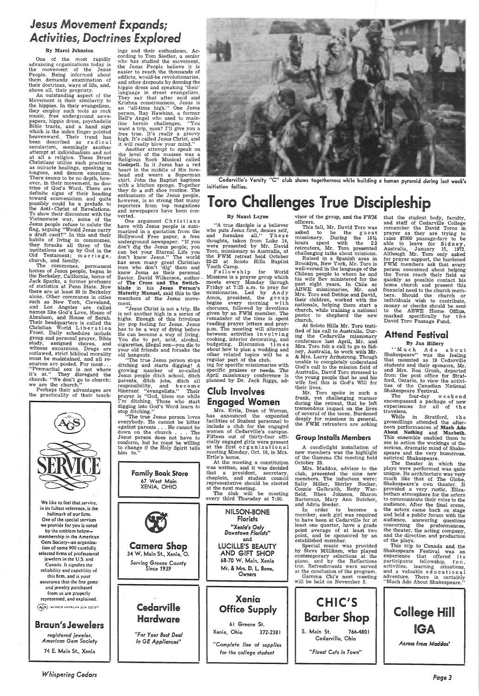## *Jesus Movement Expands; Activities, Doctrines Explored*

#### By Marci Johnston

One of the most rapidly advancing organizations today is the movement of the Jesus People. Being informed about them demands examination of their doctrines, ways of life, and, above all, their propriety.

An outstanding aspect of the Movement is their similarity to the hippies. In their evangelism, they employ such tools as rock music, free underground newspapers, hippie dress, psychadelic which is the index finger pointed heavenward. Their trend has<br>been described as radical secularism, seemingly another attempt at individualism and not at all a religion. These Street Christians utilize such practices as miracle healings, speaking in tongues, and demon exorcism. There seems to be no depth, however, in their movement, no doctrine of God's Word. There are definite signs of their heading toward ecumenicism and quite possibly could be a prelude to the Anti - Christ of Revelations. To show their discontent with the Vietnamese war, some of the Jesus people refuse to salute the flag, arguing ''Would Jesus carry<br>a draft card?'' In this and their habits of living in communes, they forsake all three of the institutions set up by God in the Old Testament; marriage, church, and family.

ings and their enthusiasm. According to Tom Siedler, a senior who has studied the movement, the Jesus People believe it is easier to reach the thousands of addicts, would-be revolutionaries,<br>and other dropouts by donning the hippie dress and speaking 'their' language in street evangelism. They say that after acid and Krishna consciousness, Jesus is an "all-time high." One Jesus person, Ray Hawkins, a former Hell's Angel who used to mamline heroin challenges, "You free true. It's really a groovy<br>high. It's called Jesus Christ, and it will really blow your mind."

Another attempt to speak on the level of the masses was a Religious Rock Musical called Godspell. In it Jesus has a red heart in the middle of His forethey do a soft shoe routine. The enthusiasm of the Jesus people, however, is so strong that many reporters from top magazines and newspapers have been con-

One argument Christians have with Jesus people is sum-<br>marized in a quotation from the who puts Jesus first, denies self, Hollywood Free paper, a free and forsakes all." These<br>underground newspaper. "If you thoughts, taken Hollywood Free paper, a free and forsakes all." These underground newspaper. "If you thoughts, taken from Luke 14, don't dig the Jesus people, you were presented by Mr. David can bet your Eternal Life you Toro, missionary can bet your Eternal Life you Toro, missionary to Australia, at don't know Jesus." The world the FWM retreat held October has seen many great Christian 22-23 at Scioto Hills Baptist men who don't 'dig' them and Youth Camp.<br>
know Jesus as their personal . F ellow sh ip for World Savior. David Wilkerson, author – Missions is a prayer group which of The Cross and The Switch-<br>
meets every Monday through of **The Cross and The Switch-** meets every Monday through blade in his **Jesus Person's** Friday at 7:25 a.m. to pray for **Maturity Manuel, said this to the missionaries. Led by Andy members of the Jesus move- Amos, presiden** 

The communes, permanent homes of Jesus people, began in the Berkeley, California, home of Jack Sparks, a former professor of statistics at Penn State. Now there are at least 30 in Berkeley alone. Other communes in cities such as New York, Cleveland, and Los Angeles are called names like God's Love, House of Abraham, and House of Sarah. Their headquarters is called the Christian World Liberation Front. Daily schedules include group and personal prayer, Bible study, assigned chores, and witness excursions. Drugs are outlawed, strict biblical morality must be maintained, and all resources are pooled. For most... "Premarital sex is not where it's at." They disregard the churchs "We don't go to church; we are the church."

cigarettes, illegal sex—you die to budgeting. Discussion time is<br>your old friends and forsake the about how to plan a wedding and<br>old hangouts. The true Jesus person stops regular part of the club.<br>ditching and starts digg parents, ditch jobs, ditch all planned by Dr. Jack Riggs, ad-<br>responsibility, and become itinerant "evangelists." Their prayer is "God, bless me while I'm ditching. Those who start





head and wears a Superman<br>shirt. John the Baptist baptizes Cedarville's Varsity "C" club shows togetherness while building a human pyramid during last week's<br>with a kitchen sponge. Together initiation follies.

# enthusiasm of the Jesus people,<br>however, is so strong that many<br>reporters from top magazines **Challenges True Discipleship**

members of the Jesus move-<br>mos, president, the group<br>ment.<br>"Jesus Christ is not a trip. He choruses, followed by devotions<br>is not another high in a series of given by an FWM member. The<br>highs. Enough of this frivolous rema

Perhaps their advantages are the practicality of their teach-

visor of the group, and the FWM that the student body, faculty, officers.

*Whispering Cedars* 

and staff of Cedarville College remember the David Taros in prayer as they are trying to raise \$7000 passage-fare to be able to leave for Sidney, Australia, January 15, 1972. Although Mr. Toro only asked for prayer support, the burdened FWM members ask that every<br>person concerned about helping the Toros reach their field as quickly as possible contact his home church and present this financial need to the church members. Should the church or individuals wish to contribute, money or checks should be sent to the ABWE Home Office, marked specifically for  $\sf{t}$  h-e David Toro Passage Fund.

### Club Involves Engaged Women



 This fall, Mr. David Toro was asked to be the guest missionary. During the  $18\frac{1}{2}$ hours spent with the 22 retreaters, Mr. Toro presented challenging talks about missions.

Raised in a Spanish area in Brooklyn, New York, Mr. Toro is well-versed in the language of the Chilean people to whom he and his wife Bev ministered for the past eight years. In Chile as ABWE missionaries, Mr. and Mrs. Toro and Debbie and David, their children, worked with the nationals, helping them start <sup>a</sup> church, while training a national pastor to shepherd the new church.

At Scioto Hills Mr. Toro testified of his call to Australia. During the Cedarville missionary conference last April, Mr. and Mrs. Toro felt a call to go to Sidney, Australia, to work with Mr.<br>& Mrs. Larry Armstrong. Though unable to completely understand God's call to the mission field of Australia, David Toro stressed to the young people that he and his wife feel this is God's Will for their lives.

 Mr. Toro spoke in such <sup>a</sup> frank, yet challenging manner

### Attend Festival

#### By Jan Hillery.

"Much Ado about Shakespeare" was the feeling that mounted as 19 Cedarville students and their sponsors, Mr. students and their sponsors, m...<br>and Mrs. Ron Grosh, departed<br>from the post office for Stratford, Ontario, to view the activities of the Canadian National Shakespeare Festival.

The four-day week end encompassed a package of new

groundlings attended the afternoon performances of Much Ado This ensemble enabled them to

*Page3*